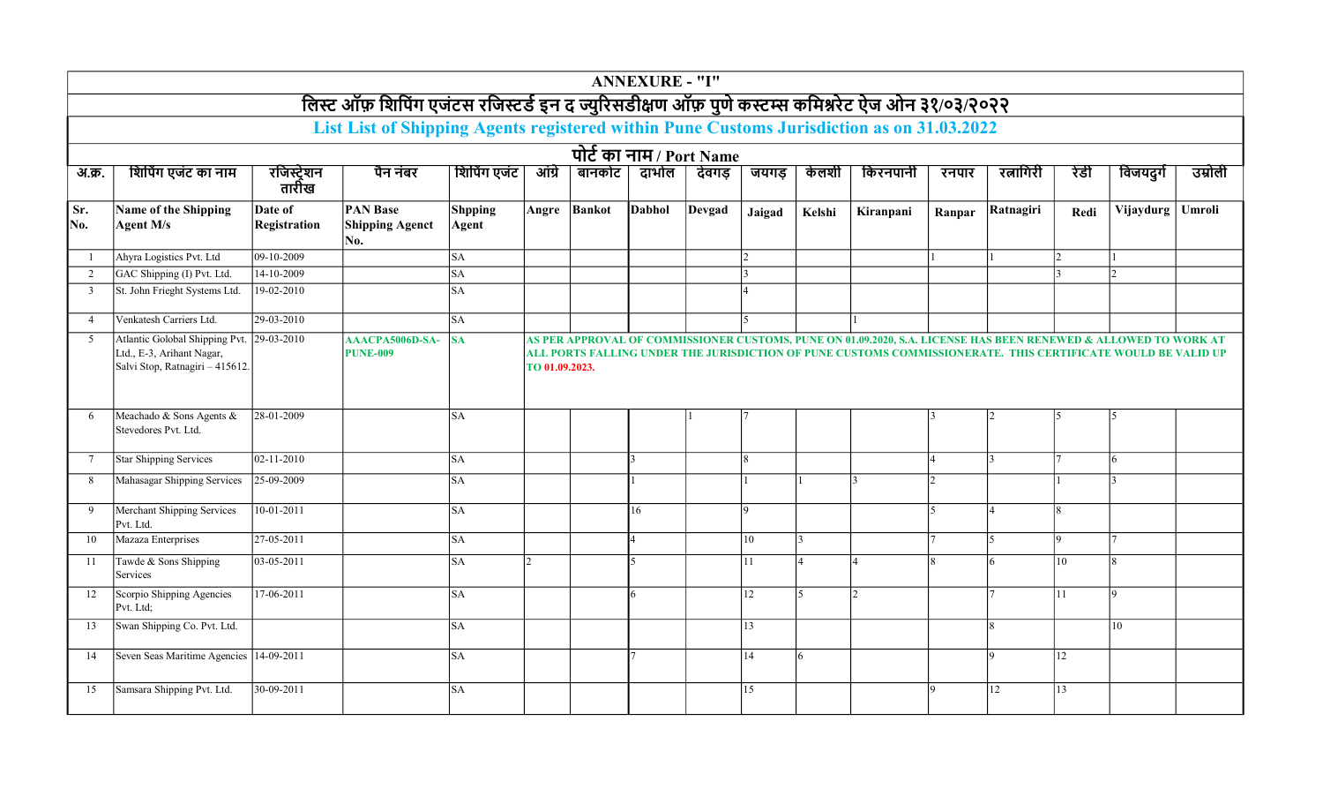|                |                                                                                                |                                |                                                                                                 |                         |                |                          | <b>ANNEXURE - "I"</b> |        |                 |        |                                                                                                                                                                                                                                  |        |           |      |           |               |
|----------------|------------------------------------------------------------------------------------------------|--------------------------------|-------------------------------------------------------------------------------------------------|-------------------------|----------------|--------------------------|-----------------------|--------|-----------------|--------|----------------------------------------------------------------------------------------------------------------------------------------------------------------------------------------------------------------------------------|--------|-----------|------|-----------|---------------|
|                |                                                                                                |                                | लिस्ट ऑफ़ शिपिंग एजंटस रजिस्टर्ड इन द ज्युरिसडीक्षण ऑफ़ पुणे कस्टम्स कमिश्नरेट ऐज ओन ३१/०३/२०२२ |                         |                |                          |                       |        |                 |        |                                                                                                                                                                                                                                  |        |           |      |           |               |
|                |                                                                                                |                                | List List of Shipping Agents registered within Pune Customs Jurisdiction as on 31.03.2022       |                         |                |                          |                       |        |                 |        |                                                                                                                                                                                                                                  |        |           |      |           |               |
|                |                                                                                                |                                |                                                                                                 |                         |                | पोर्ट का नाम / Port Name |                       |        |                 |        |                                                                                                                                                                                                                                  |        |           |      |           |               |
| अ.क्र.         | शिपिंग एजंट का नाम                                                                             | रजिस्ट्रेशन<br>तारीख           | पैन नंबर                                                                                        | शिपिंग एजंट             | आंग्रे         | बानकोट                   | दाभोल                 | देवगड  | जयगड            | केलशी  | किरनपानी                                                                                                                                                                                                                         | रनपार  | रत्नागिरी | रेडी | विजयदुर्ग | उम्रोली       |
| Sr.<br>No.     | Name of the Shipping<br><b>Agent M/s</b>                                                       | Date of<br><b>Registration</b> | <b>PAN Base</b><br><b>Shipping Agenct</b><br>No.                                                | <b>Shpping</b><br>Agent | Angre          | <b>Bankot</b>            | <b>Dabhol</b>         | Devgad | Jaigad          | Kelshi | Kiranpani                                                                                                                                                                                                                        | Ranpar | Ratnagiri | Redi | Vijaydurg | <b>Umroli</b> |
| -1             | Ahyra Logistics Pvt. Ltd                                                                       | 09-10-2009                     |                                                                                                 | <b>SA</b>               |                |                          |                       |        |                 |        |                                                                                                                                                                                                                                  |        |           |      |           |               |
| 2              | GAC Shipping (I) Pvt. Ltd.                                                                     | 14-10-2009                     |                                                                                                 | <b>SA</b>               |                |                          |                       |        |                 |        |                                                                                                                                                                                                                                  |        |           |      |           |               |
| 3              | St. John Frieght Systems Ltd.                                                                  | 19-02-2010                     |                                                                                                 | <b>SA</b>               |                |                          |                       |        |                 |        |                                                                                                                                                                                                                                  |        |           |      |           |               |
| $\overline{4}$ | Venkatesh Carriers Ltd.                                                                        | 29-03-2010                     |                                                                                                 | SA                      |                |                          |                       |        |                 |        |                                                                                                                                                                                                                                  |        |           |      |           |               |
| 5              | Atlantic Golobal Shipping Pvt.<br>Ltd., E-3, Arihant Nagar,<br>Salvi Stop, Ratnagiri - 415612. | $29 - 03 - 2010$               | AAACPA5006D-SA-<br><b>PUNE-009</b>                                                              | <b>SA</b>               | TO 01.09.2023. |                          |                       |        |                 |        | AS PER APPROVAL OF COMMISSIONER CUSTOMS, PUNE ON 01.09.2020, S.A. LICENSE HAS BEEN RENEWED & ALLOWED TO WORK AT<br>ALL PORTS FALLING UNDER THE JURISDICTION OF PUNE CUSTOMS COMMISSIONERATE.  THIS CERTIFICATE WOULD BE VALID UP |        |           |      |           |               |
| 6              | Meachado & Sons Agents &<br>Stevedores Pvt. Ltd.                                               | 28-01-2009                     |                                                                                                 | <b>SA</b>               |                |                          |                       |        |                 |        |                                                                                                                                                                                                                                  |        |           |      |           |               |
| -7             | <b>Star Shipping Services</b>                                                                  | 02-11-2010                     |                                                                                                 | SA                      |                |                          |                       |        | <sup>8</sup>    |        |                                                                                                                                                                                                                                  |        |           |      | 6         |               |
| 8              | Mahasagar Shipping Services                                                                    | 25-09-2009                     |                                                                                                 | SA                      |                |                          |                       |        |                 |        |                                                                                                                                                                                                                                  |        |           |      |           |               |
| 9              | <b>Merchant Shipping Services</b><br>Pvt. Ltd.                                                 | $10 - 01 - 2011$               |                                                                                                 | <b>SA</b>               |                |                          | 16                    |        | Q               |        |                                                                                                                                                                                                                                  |        |           |      |           |               |
| 10             | Mazaza Enterprises                                                                             | 27-05-2011                     |                                                                                                 | <b>SA</b>               |                |                          |                       |        | 10              |        |                                                                                                                                                                                                                                  |        |           |      |           |               |
| 11             | Tawde & Sons Shipping<br>Services                                                              | 03-05-2011                     |                                                                                                 | <b>SA</b>               |                |                          | 5                     |        | 11              |        |                                                                                                                                                                                                                                  |        |           | 10   |           |               |
| 12             | Scorpio Shipping Agencies<br>Pvt. Ltd;                                                         | 17-06-2011                     |                                                                                                 | <b>SA</b>               |                |                          | 6                     |        | 12              | 5      | $\mathcal{D}$                                                                                                                                                                                                                    |        |           | 11   |           |               |
| 13             | Swan Shipping Co. Pvt. Ltd.                                                                    |                                |                                                                                                 | <b>SA</b>               |                |                          |                       |        | $\overline{13}$ |        |                                                                                                                                                                                                                                  |        |           |      | 10        |               |
| 14             | Seven Seas Maritime Agencies 14-09-2011                                                        |                                |                                                                                                 | <b>SA</b>               |                |                          |                       |        | 14              | 6      |                                                                                                                                                                                                                                  |        |           | 12   |           |               |
| 15             | Samsara Shipping Pvt. Ltd.                                                                     | 30-09-2011                     |                                                                                                 | <b>SA</b>               |                |                          |                       |        | 15              |        |                                                                                                                                                                                                                                  |        | 12        | 13   |           |               |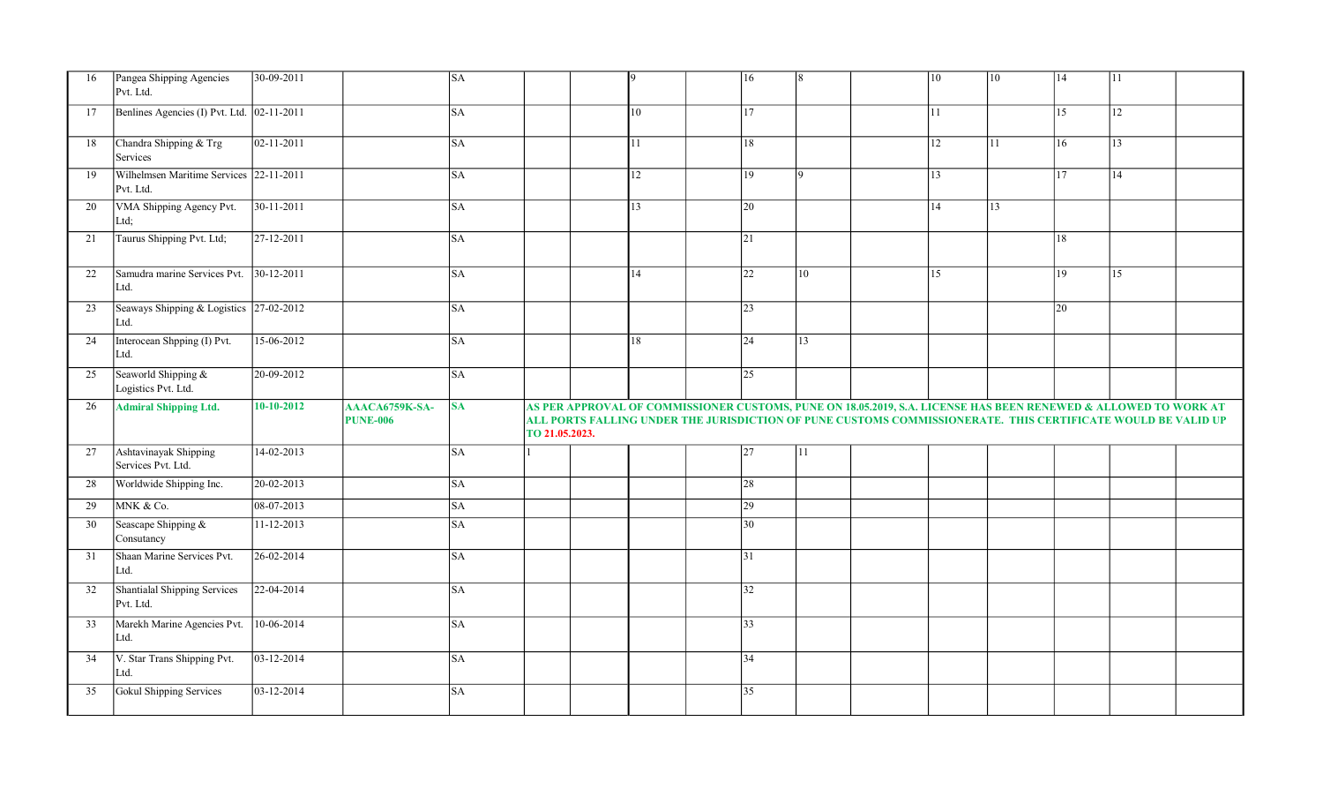| 16 | Pangea Shipping Agencies<br>Pvt. Ltd.                | $30-09-2011$       |                                   | <b>SA</b> |                |              | $ 16\rangle$    | l8  |                                                                                                                                                                                                                                 | 10 | 10 | 14 | 11           |  |
|----|------------------------------------------------------|--------------------|-----------------------------------|-----------|----------------|--------------|-----------------|-----|---------------------------------------------------------------------------------------------------------------------------------------------------------------------------------------------------------------------------------|----|----|----|--------------|--|
| 17 | Benlines Agencies (I) Pvt. Ltd. 02-11-2011           |                    |                                   | <b>SA</b> |                | 10           | 17              |     |                                                                                                                                                                                                                                 | 11 |    | 15 | 12           |  |
| 18 | Chandra Shipping & Trg<br>Services                   | $ 02 - 11 - 2011 $ |                                   | <b>SA</b> |                | $ 11\rangle$ | 18              |     |                                                                                                                                                                                                                                 | 12 | 11 | 16 | $ 13\rangle$ |  |
| 19 | Wilhelmsen Maritime Services 22-11-2011<br>Pvt. Ltd. |                    |                                   | <b>SA</b> |                | 12           | $ 19\rangle$    | 19. |                                                                                                                                                                                                                                 | 13 |    | 17 | 14           |  |
| 20 | VMA Shipping Agency Pvt.<br>Ltd;                     | $30-11-2011$       |                                   | <b>SA</b> |                | 13           | 20              |     |                                                                                                                                                                                                                                 | 14 | 13 |    |              |  |
| 21 | Taurus Shipping Pvt. Ltd;                            | $27-12-2011$       |                                   | <b>SA</b> |                |              | $\overline{21}$ |     |                                                                                                                                                                                                                                 |    |    | 18 |              |  |
| 22 | Samudra marine Services Pvt.<br>Ltd.                 | $30-12-2011$       |                                   | <b>SA</b> |                | 14           | $ 22\rangle$    | 10  |                                                                                                                                                                                                                                 | 15 |    | 19 | 15           |  |
| 23 | Seaways Shipping & Logistics 27-02-2012<br>Ltd.      |                    |                                   | <b>SA</b> |                |              | $ 23\rangle$    |     |                                                                                                                                                                                                                                 |    |    | 20 |              |  |
| 24 | Interocean Shpping (I) Pvt.<br>Ltd.                  | 15-06-2012         |                                   | <b>SA</b> |                | 18           | $\sqrt{24}$     | 13  |                                                                                                                                                                                                                                 |    |    |    |              |  |
| 25 | Seaworld Shipping &<br>Logistics Pvt. Ltd.           | 20-09-2012         |                                   | <b>SA</b> |                |              | $\overline{25}$ |     |                                                                                                                                                                                                                                 |    |    |    |              |  |
|    |                                                      |                    |                                   |           |                |              |                 |     |                                                                                                                                                                                                                                 |    |    |    |              |  |
| 26 | <b>Admiral Shipping Ltd.</b>                         | $10 - 10 - 2012$   | AAACA6759K-SA-<br><b>PUNE-006</b> | <b>SA</b> | TO 21.05.2023. |              |                 |     | AS PER APPROVAL OF COMMISSIONER CUSTOMS, PUNE ON 18.05.2019, S.A. LICENSE HAS BEEN RENEWED & ALLOWED TO WORK AT<br>ALL PORTS FALLING UNDER THE JURISDICTION OF PUNE CUSTOMS COMMISSIONERATE. THIS CERTIFICATE WOULD BE VALID UP |    |    |    |              |  |
| 27 | Ashtavinayak Shipping<br>Services Pvt. Ltd.          | 14-02-2013         |                                   | <b>SA</b> |                |              | 27              | 11  |                                                                                                                                                                                                                                 |    |    |    |              |  |
| 28 | Worldwide Shipping Inc.                              | 20-02-2013         |                                   | <b>SA</b> |                |              | 28              |     |                                                                                                                                                                                                                                 |    |    |    |              |  |
| 29 | MNK & Co.                                            | 08-07-2013         |                                   | <b>SA</b> |                |              | $ 29\rangle$    |     |                                                                                                                                                                                                                                 |    |    |    |              |  |
| 30 | Seascape Shipping &<br>Consutancy                    | $11 - 12 - 2013$   |                                   | <b>SA</b> |                |              | 30              |     |                                                                                                                                                                                                                                 |    |    |    |              |  |
| 31 | Shaan Marine Services Pvt.<br>Ltd.                   | $26 - 02 - 2014$   |                                   | <b>SA</b> |                |              | 31              |     |                                                                                                                                                                                                                                 |    |    |    |              |  |
| 32 | Shantialal Shipping Services<br>Pvt. Ltd.            | $22 - 04 - 2014$   |                                   | <b>SA</b> |                |              | $\overline{32}$ |     |                                                                                                                                                                                                                                 |    |    |    |              |  |
| 33 | Marekh Marine Agencies Pvt.<br>Ltd.                  | $10-06-2014$       |                                   | <b>SA</b> |                |              | $\overline{33}$ |     |                                                                                                                                                                                                                                 |    |    |    |              |  |
| 34 | V. Star Trans Shipping Pvt.<br>Ltd.                  | 03-12-2014         |                                   | <b>SA</b> |                |              | $ 34\rangle$    |     |                                                                                                                                                                                                                                 |    |    |    |              |  |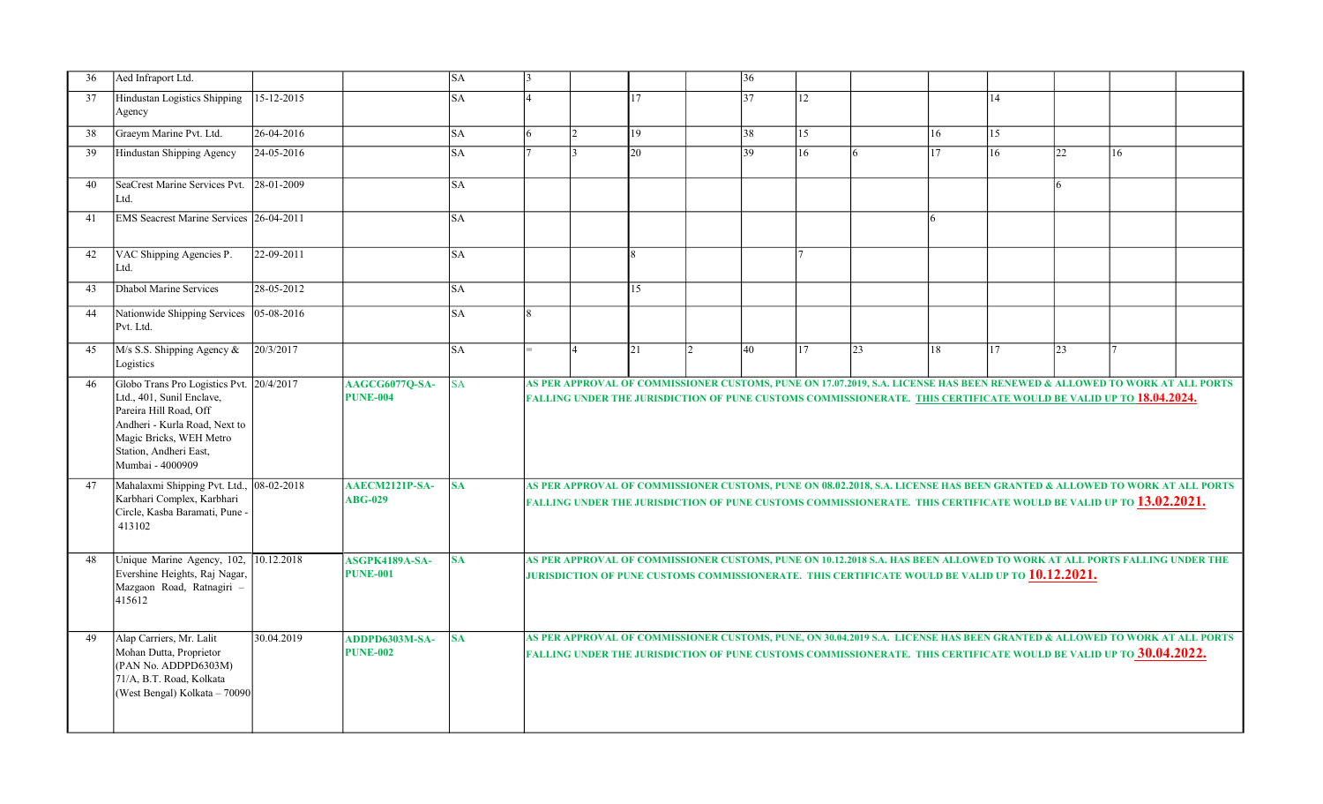| 36 | Aed Infraport Ltd.                                                                                                                                                                                        |            |                                   | <b>SA</b> | $\mathbf{3}$ |                |    |                | 36 |                  |                                                                                                                                                                                                                                                             |    |                 |    |    |  |
|----|-----------------------------------------------------------------------------------------------------------------------------------------------------------------------------------------------------------|------------|-----------------------------------|-----------|--------------|----------------|----|----------------|----|------------------|-------------------------------------------------------------------------------------------------------------------------------------------------------------------------------------------------------------------------------------------------------------|----|-----------------|----|----|--|
| 37 | Hindustan Logistics Shipping<br>Agency                                                                                                                                                                    | 15-12-2015 |                                   | <b>SA</b> |              |                | 17 |                | 37 | <sup>12</sup>    |                                                                                                                                                                                                                                                             |    | 14              |    |    |  |
| 38 | Graeym Marine Pvt. Ltd.                                                                                                                                                                                   | 26-04-2016 |                                   | SA        | 6            | $\overline{2}$ | 19 |                | 38 | $\vert 15 \vert$ |                                                                                                                                                                                                                                                             | 16 | 15              |    |    |  |
| 39 | Hindustan Shipping Agency                                                                                                                                                                                 | 24-05-2016 |                                   | <b>SA</b> |              | ا ?            | 20 |                | 39 | 16               | <sup>6</sup>                                                                                                                                                                                                                                                | 17 | 16 <sup>1</sup> | 22 | 16 |  |
| 40 | SeaCrest Marine Services Pvt.<br>Ltd.                                                                                                                                                                     | 28-01-2009 |                                   | SA        |              |                |    |                |    |                  |                                                                                                                                                                                                                                                             |    |                 |    |    |  |
| 41 | EMS Seacrest Marine Services 26-04-2011                                                                                                                                                                   |            |                                   | SA        |              |                |    |                |    |                  |                                                                                                                                                                                                                                                             | 6  |                 |    |    |  |
| 42 | VAC Shipping Agencies P.<br>Ltd.                                                                                                                                                                          | 22-09-2011 |                                   | <b>SA</b> |              |                |    |                |    |                  |                                                                                                                                                                                                                                                             |    |                 |    |    |  |
| 43 | Dhabol Marine Services                                                                                                                                                                                    | 28-05-2012 |                                   | SA        |              |                | 15 |                |    |                  |                                                                                                                                                                                                                                                             |    |                 |    |    |  |
| 44 | Nationwide Shipping Services<br>Pvt. Ltd.                                                                                                                                                                 | 05-08-2016 |                                   | SA        |              |                |    |                |    |                  |                                                                                                                                                                                                                                                             |    |                 |    |    |  |
| 45 | M/s S.S. Shipping Agency &<br>Logistics                                                                                                                                                                   | 20/3/2017  |                                   | SA        |              | $\overline{4}$ | 21 | $\overline{2}$ | 40 | 117              | $ 23\rangle$                                                                                                                                                                                                                                                | 18 | 17              | 23 |    |  |
| 46 | Globo Trans Pro Logistics Pvt. 20/4/2017<br>Ltd., 401, Sunil Enclave,<br>Pareira Hill Road, Off<br>Andheri - Kurla Road, Next to<br>Magic Bricks, WEH Metro<br>Station, Andheri East,<br>Mumbai - 4000909 |            | AAGCG6077Q-SA-<br><b>PUNE-004</b> | SA        |              |                |    |                |    |                  | AS PER APPROVAL OF COMMISSIONER CUSTOMS, PUNE ON 17.07.2019, S.A. LICENSE HAS BEEN RENEWED & ALLOWED TO WORK AT ALL PORTS<br>FALLING UNDER THE JURISDICTION OF PUNE CUSTOMS COMMISSIONERATE. THIS CERTIFICATE WOULD BE VALID UP TO 18.04.2024.              |    |                 |    |    |  |
| 47 | Mahalaxmi Shipping Pvt. Ltd., 08-02-2018<br>Karbhari Complex, Karbhari<br>Circle, Kasba Baramati, Pune -<br>413102                                                                                        |            | AAECM2121P-SA-<br><b>ABG-029</b>  | <b>SA</b> |              |                |    |                |    |                  | AS PER APPROVAL OF COMMISSIONER CUSTOMS, PUNE ON 08.02.2018, S.A. LICENSE HAS BEEN GRANTED & ALLOWED TO WORK AT ALL PORTS<br>falling under the jurisdiction of pune customs commissionerate. This certificate would be valid up to <mark>13.02.2021.</mark> |    |                 |    |    |  |
| 48 | Unique Marine Agency, 102, 10.12.2018<br>Evershine Heights, Raj Nagar,<br>Mazgaon Road, Ratnagiri -<br>415612                                                                                             |            | ASGPK4189A-SA-<br><b>PUNE-001</b> | <b>SA</b> |              |                |    |                |    |                  | AS PER APPROVAL OF COMMISSIONER CUSTOMS, PUNE ON 10.12.2018 S.A. HAS BEEN ALLOWED TO WORK AT ALL PORTS FALLING UNDER THE<br>JURISDICTION OF PUNE CUSTOMS COMMISSIONERATE. THIS CERTIFICATE WOULD BE VALID UP TO 10.12.2021.                                 |    |                 |    |    |  |
| 49 | Alap Carriers, Mr. Lalit<br>Mohan Dutta, Proprietor<br>(PAN No. ADDPD6303M)<br>71/A, B.T. Road, Kolkata<br>(West Bengal) Kolkata - 70090                                                                  | 30.04.2019 | ADDPD6303M-SA-<br><b>PUNE-002</b> | <b>SA</b> |              |                |    |                |    |                  | AS PER APPROVAL OF COMMISSIONER CUSTOMS, PUNE, ON 30.04.2019 S.A. LICENSE HAS BEEN GRANTED & ALLOWED TO WORK AT ALL PORTS<br>FALLING UNDER THE JURISDICTION OF PUNE CUSTOMS COMMISSIONERATE. THIS CERTIFICATE WOULD BE VALID UP TO 30.04.2022.              |    |                 |    |    |  |